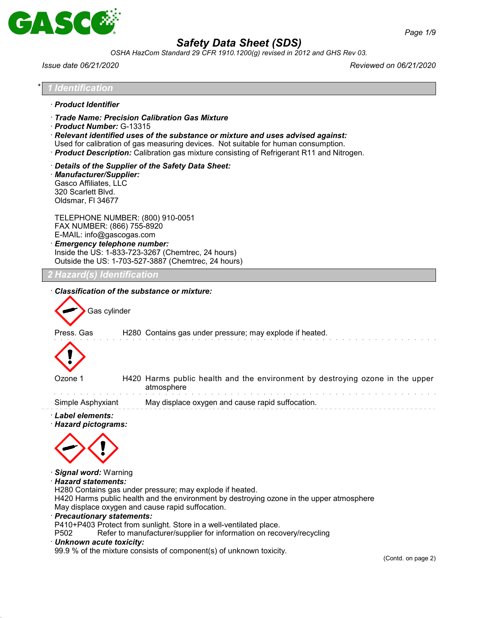

*OSHA HazCom Standard 29 CFR 1910.1200(g) revised in 2012 and GHS Rev 03.*

*Issue date 06/21/2020 Reviewed on 06/21/2020*

| <b>Identification</b><br>· Product Identifier<br>Product Number: G-13315                      | · Trade Name: Precision Calibration Gas Mixture                                                                                               |                                                                                                                                                                                                                                                                            |  |
|-----------------------------------------------------------------------------------------------|-----------------------------------------------------------------------------------------------------------------------------------------------|----------------------------------------------------------------------------------------------------------------------------------------------------------------------------------------------------------------------------------------------------------------------------|--|
|                                                                                               |                                                                                                                                               |                                                                                                                                                                                                                                                                            |  |
|                                                                                               |                                                                                                                                               | $\cdot$ Relevant identified uses of the substance or mixture and uses advised against:<br>Used for calibration of gas measuring devices. Not suitable for human consumption.<br>· Product Description: Calibration gas mixture consisting of Refrigerant R11 and Nitrogen. |  |
| · Manufacturer/Supplier:<br>Gasco Affiliates, LLC<br>320 Scarlett Blvd.<br>Oldsmar, FI 34677  | Details of the Supplier of the Safety Data Sheet:                                                                                             |                                                                                                                                                                                                                                                                            |  |
| FAX NUMBER: (866) 755-8920<br>E-MAIL: info@gascogas.com<br><b>Emergency telephone number:</b> | TELEPHONE NUMBER: (800) 910-0051<br>Inside the US: 1-833-723-3267 (Chemtrec, 24 hours)<br>Outside the US: 1-703-527-3887 (Chemtrec, 24 hours) |                                                                                                                                                                                                                                                                            |  |
| 2 Hazard(s) Identification                                                                    |                                                                                                                                               |                                                                                                                                                                                                                                                                            |  |
| Ozone 1                                                                                       | atmosphere                                                                                                                                    | H280 Contains gas under pressure; may explode if heated.<br>H420 Harms public health and the environment by destroying ozone in the upper                                                                                                                                  |  |
| Simple Asphyxiant                                                                             |                                                                                                                                               | May displace oxygen and cause rapid suffocation.                                                                                                                                                                                                                           |  |
| · Label elements:<br>· Hazard pictograms:                                                     |                                                                                                                                               |                                                                                                                                                                                                                                                                            |  |
| · Signal word: Warning<br>· Hazard statements:                                                | H280 Contains gas under pressure; may explode if heated.                                                                                      | H420 Harms public health and the environment by destroying ozone in the upper atmosphere                                                                                                                                                                                   |  |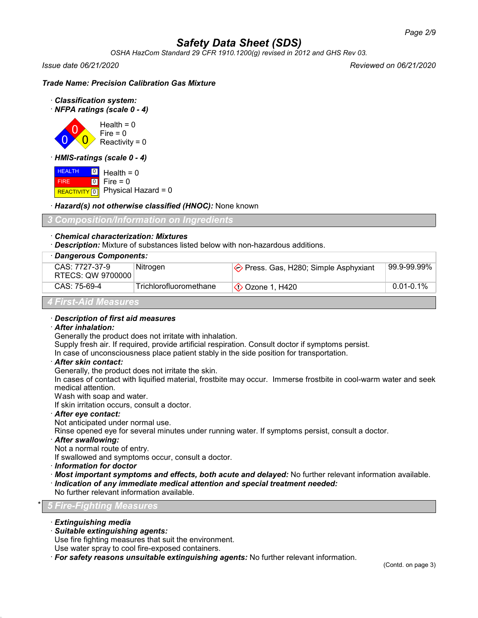*OSHA HazCom Standard 29 CFR 1910.1200(g) revised in 2012 and GHS Rev 03.*

*Issue date 06/21/2020 Reviewed on 06/21/2020*

## *Trade Name: Precision Calibration Gas Mixture*

- · *Classification system:*
- · *NFPA ratings (scale 0 4)*



· *HMIS-ratings (scale 0 - 4)*

 HEALTH FIRE REACTIVITY  $\boxed{0}$  Physical Hazard = 0 0  $\boxed{0}$ Health  $= 0$  $Fire = 0$ 

· *Hazard(s) not otherwise classified (HNOC):* None known

## *3 Composition/Information on Ingredients*

## · *Chemical characterization: Mixtures*

· *Description:* Mixture of substances listed below with non-hazardous additions.

| · Dangerous Components:             |                        |                                                |                |
|-------------------------------------|------------------------|------------------------------------------------|----------------|
| CAS: 7727-37-9<br>RTECS: QW 9700000 | Nitrogen               | $\diamond$ Press. Gas, H280; Simple Asphyxiant |                |
| CAS: 75-69-4                        | Trichlorofluoromethane | Ozone 1, H420                                  | $0.01 - 0.1\%$ |
| 4 First-Aid Measures                |                        |                                                |                |

#### · *Description of first aid measures*

#### · *After inhalation:*

Generally the product does not irritate with inhalation.

Supply fresh air. If required, provide artificial respiration. Consult doctor if symptoms persist.

In case of unconsciousness place patient stably in the side position for transportation.

· *After skin contact:*

Generally, the product does not irritate the skin.

In cases of contact with liquified material, frostbite may occur. Immerse frostbite in cool-warm water and seek medical attention.

Wash with soap and water.

If skin irritation occurs, consult a doctor.

· *After eye contact:*

Not anticipated under normal use.

Rinse opened eye for several minutes under running water. If symptoms persist, consult a doctor.

- · *After swallowing:*
- Not a normal route of entry.

If swallowed and symptoms occur, consult a doctor.

- · *Information for doctor*
- · *Most important symptoms and effects, both acute and delayed:* No further relevant information available.
- · *Indication of any immediate medical attention and special treatment needed:*
- No further relevant information available.

## \* *5 Fire-Fighting Measures*

- · *Extinguishing media*
- · *Suitable extinguishing agents:*

Use fire fighting measures that suit the environment.

Use water spray to cool fire-exposed containers.

· *For safety reasons unsuitable extinguishing agents:* No further relevant information.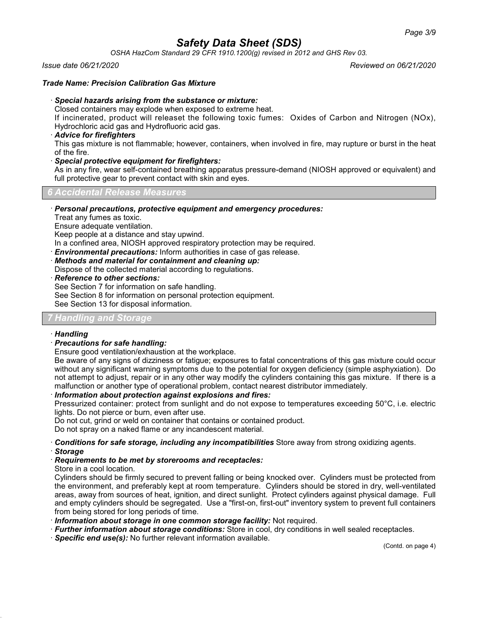*OSHA HazCom Standard 29 CFR 1910.1200(g) revised in 2012 and GHS Rev 03.*

*Issue date 06/21/2020 Reviewed on 06/21/2020*

#### *Trade Name: Precision Calibration Gas Mixture*

#### · *Special hazards arising from the substance or mixture:*

Closed containers may explode when exposed to extreme heat.

If incinerated, product will releaset the following toxic fumes: Oxides of Carbon and Nitrogen (NOx), Hydrochloric acid gas and Hydrofluoric acid gas.

#### · *Advice for firefighters*

This gas mixture is not flammable; however, containers, when involved in fire, may rupture or burst in the heat of the fire.

#### · *Special protective equipment for firefighters:*

As in any fire, wear self-contained breathing apparatus pressure-demand (NIOSH approved or equivalent) and full protective gear to prevent contact with skin and eyes.

*6 Accidental Release Measures*

#### · *Personal precautions, protective equipment and emergency procedures:*

Treat any fumes as toxic.

Ensure adequate ventilation.

Keep people at a distance and stay upwind.

In a confined area, NIOSH approved respiratory protection may be required.

· *Environmental precautions:* Inform authorities in case of gas release.

- · *Methods and material for containment and cleaning up:* Dispose of the collected material according to regulations.
- · *Reference to other sections:*

See Section 7 for information on safe handling.

See Section 8 for information on personal protection equipment.

See Section 13 for disposal information.

## *7 Handling and Storage*

#### · *Handling*

#### · *Precautions for safe handling:*

Ensure good ventilation/exhaustion at the workplace.

Be aware of any signs of dizziness or fatigue; exposures to fatal concentrations of this gas mixture could occur without any significant warning symptoms due to the potential for oxygen deficiency (simple asphyxiation). Do not attempt to adjust, repair or in any other way modify the cylinders containing this gas mixture. If there is a malfunction or another type of operational problem, contact nearest distributor immediately.

#### · *Information about protection against explosions and fires:*

Pressurized container: protect from sunlight and do not expose to temperatures exceeding 50°C, i.e. electric lights. Do not pierce or burn, even after use.

Do not cut, grind or weld on container that contains or contained product.

Do not spray on a naked flame or any incandescent material.

· *Conditions for safe storage, including any incompatibilities* Store away from strong oxidizing agents. · *Storage*

## · *Requirements to be met by storerooms and receptacles:*

Store in a cool location.

Cylinders should be firmly secured to prevent falling or being knocked over. Cylinders must be protected from the environment, and preferably kept at room temperature. Cylinders should be stored in dry, well-ventilated areas, away from sources of heat, ignition, and direct sunlight. Protect cylinders against physical damage. Full and empty cylinders should be segregated. Use a "first-on, first-out" inventory system to prevent full containers from being stored for long periods of time.

- · *Information about storage in one common storage facility:* Not required.
- · *Further information about storage conditions:* Store in cool, dry conditions in well sealed receptacles.
- · *Specific end use(s):* No further relevant information available.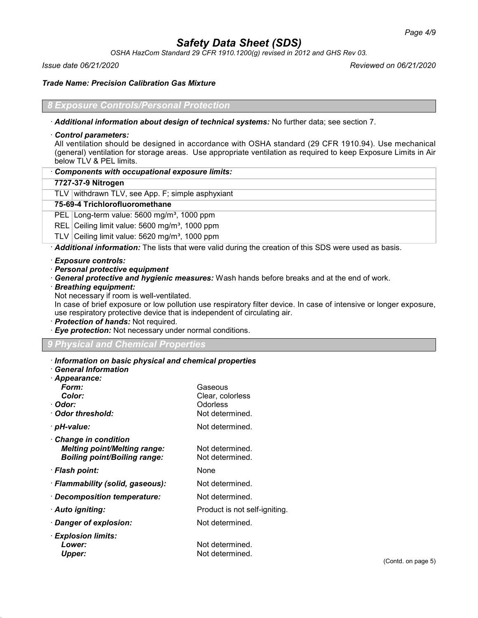*OSHA HazCom Standard 29 CFR 1910.1200(g) revised in 2012 and GHS Rev 03.*

*Issue date 06/21/2020 Reviewed on 06/21/2020*

*Trade Name: Precision Calibration Gas Mixture*

## *Exposure Controls/Personal Protection*

· *Additional information about design of technical systems:* No further data; see section 7.

#### · *Control parameters:*

All ventilation should be designed in accordance with OSHA standard (29 CFR 1910.94). Use mechanical (general) ventilation for storage areas. Use appropriate ventilation as required to keep Exposure Limits in Air below TLV & PEL limits.

| Components with occupational exposure limits: |  |
|-----------------------------------------------|--|
|-----------------------------------------------|--|

#### **7727-37-9 Nitrogen**

TLV withdrawn TLV, see App. F; simple asphyxiant

#### **75-69-4 Trichlorofluoromethane**

PEL Long-term value: 5600 mg/m<sup>3</sup>, 1000 ppm

REL Ceiling limit value: 5600 mg/m<sup>3</sup>, 1000 ppm

TLV Ceiling limit value:  $5620$  mg/m<sup>3</sup>, 1000 ppm

· *Additional information:* The lists that were valid during the creation of this SDS were used as basis.

- · *Exposure controls:*
- · *Personal protective equipment*
- · *General protective and hygienic measures:* Wash hands before breaks and at the end of work.
- · *Breathing equipment:*

Not necessary if room is well-ventilated.

In case of brief exposure or low pollution use respiratory filter device. In case of intensive or longer exposure, use respiratory protective device that is independent of circulating air.

- · *Protection of hands:* Not required.
- · *Eye protection:* Not necessary under normal conditions.

## *9 Physical and Chemical Properties*

#### · *Information on basic physical and chemical properties*

| $\cdot$ General Information $\overline{\phantom{a}}$ |  |
|------------------------------------------------------|--|
|------------------------------------------------------|--|

| · Appearance:                       |                               |
|-------------------------------------|-------------------------------|
| Form:                               | Gaseous                       |
| Color:                              | Clear, colorless              |
| · Odor:                             | Odorless                      |
| · Odor threshold:                   | Not determined.               |
| · pH-value:                         | Not determined.               |
| $\cdot$ Change in condition         |                               |
| <b>Melting point/Melting range:</b> | Not determined.               |
| <b>Boiling point/Boiling range:</b> | Not determined.               |
| · Flash point:                      | None                          |
| · Flammability (solid, gaseous):    | Not determined.               |
| · Decomposition temperature:        | Not determined.               |
| · Auto igniting:                    | Product is not self-igniting. |
| · Danger of explosion:              | Not determined.               |
| $\cdot$ Explosion limits:           |                               |
| Lower:                              | Not determined.               |
| <b>Upper:</b>                       | Not determined.               |
|                                     |                               |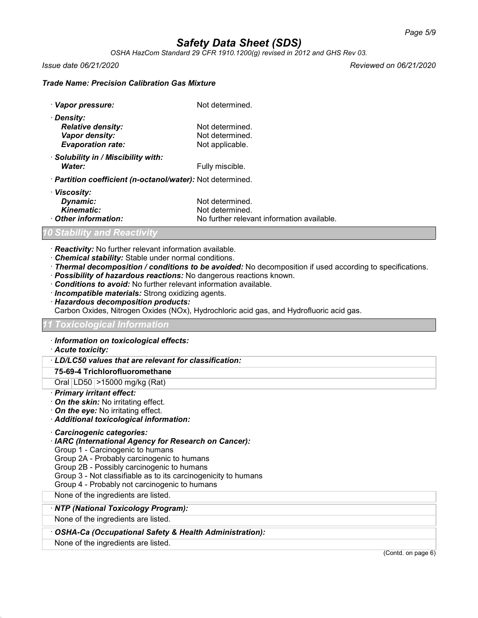*OSHA HazCom Standard 29 CFR 1910.1200(g) revised in 2012 and GHS Rev 03.*

*Issue date 06/21/2020 Reviewed on 06/21/2020*

## *Trade Name: Precision Calibration Gas Mixture*

| · Vapor pressure:                                          | Not determined. |  |
|------------------------------------------------------------|-----------------|--|
| · Density:                                                 |                 |  |
| <b>Relative density:</b>                                   | Not determined. |  |
| Vapor density:                                             | Not determined. |  |
| <b>Evaporation rate:</b>                                   | Not applicable. |  |
| · Solubility in / Miscibility with:                        |                 |  |
| Water:                                                     | Fully miscible. |  |
| · Partition coefficient (n-octanol/water): Not determined. |                 |  |
| · Viscosity:                                               |                 |  |

| Dynamic:           | Not determined.                            |
|--------------------|--------------------------------------------|
| Kinematic:         | Not determined.                            |
| Other information: | No further relevant information available. |

## *10 Stability and Reactivity*

- · *Reactivity:* No further relevant information available.
- · *Chemical stability:* Stable under normal conditions.
- · *Thermal decomposition / conditions to be avoided:* No decomposition if used according to specifications.
- · *Possibility of hazardous reactions:* No dangerous reactions known.
- · *Conditions to avoid:* No further relevant information available.
- · *Incompatible materials:* Strong oxidizing agents.
- · *Hazardous decomposition products:*
- Carbon Oxides, Nitrogen Oxides (NOx), Hydrochloric acid gas, and Hydrofluoric acid gas.

#### *11 Toxicological Information*

#### · *Information on toxicological effects:*

## · *Acute toxicity:*

## · *LD/LC50 values that are relevant for classification:*

## **75-69-4 Trichlorofluoromethane**

## Oral LD50 >15000 mg/kg (Rat)

## · *Primary irritant effect:*

- · *On the skin:* No irritating effect.
- · *On the eye:* No irritating effect.

## · *Additional toxicological information:*

- · *Carcinogenic categories:*
- · *IARC (International Agency for Research on Cancer):*

Group 1 - Carcinogenic to humans

Group 2A - Probably carcinogenic to humans

Group 2B - Possibly carcinogenic to humans

Group 3 - Not classifiable as to its carcinogenicity to humans

Group 4 - Probably not carcinogenic to humans

None of the ingredients are listed.

## · *NTP (National Toxicology Program):*

None of the ingredients are listed.

## · *OSHA-Ca (Occupational Safety & Health Administration):*

None of the ingredients are listed.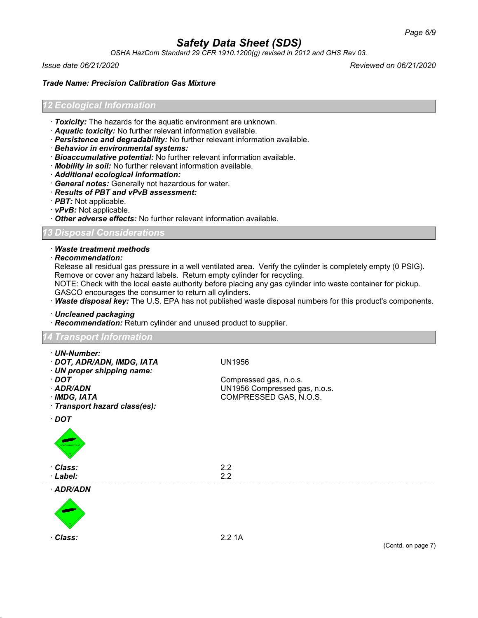*OSHA HazCom Standard 29 CFR 1910.1200(g) revised in 2012 and GHS Rev 03.*

*Issue date 06/21/2020 Reviewed on 06/21/2020*

#### *Trade Name: Precision Calibration Gas Mixture*

#### *12 Ecological Information*

- · *Toxicity:* The hazards for the aquatic environment are unknown.
- · *Aquatic toxicity:* No further relevant information available.
- · *Persistence and degradability:* No further relevant information available.
- · *Behavior in environmental systems:*
- · *Bioaccumulative potential:* No further relevant information available.
- · *Mobility in soil:* No further relevant information available.
- · *Additional ecological information:*
- · *General notes:* Generally not hazardous for water.
- · *Results of PBT and vPvB assessment:*
- · *PBT:* Not applicable.
- · *vPvB:* Not applicable.
- · *Other adverse effects:* No further relevant information available.

#### *13 Disposal Considerations*

#### · *Waste treatment methods*

· *Recommendation:*

Release all residual gas pressure in a well ventilated area. Verify the cylinder is completely empty (0 PSIG). Remove or cover any hazard labels. Return empty cylinder for recycling.

NOTE: Check with the local easte authority before placing any gas cylinder into waste container for pickup. GASCO encourages the consumer to return all cylinders.

· *Waste disposal key:* The U.S. EPA has not published waste disposal numbers for this product's components.

· *Uncleaned packaging*

· *Recommendation:* Return cylinder and unused product to supplier.

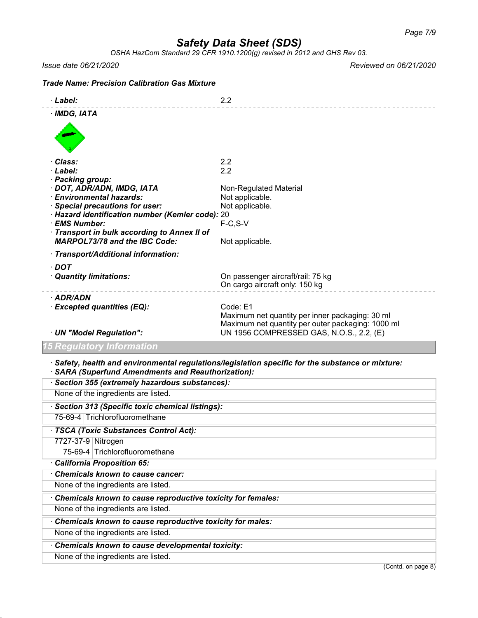*OSHA HazCom Standard 29 CFR 1910.1200(g) revised in 2012 and GHS Rev 03.*

*Issue date 06/21/2020 Reviewed on 06/21/2020*

# *Trade Name: Precision Calibration Gas Mixture* · *Label:* 2.2 · *IMDG, IATA* · *Class:* 2.2 · *Label:* 2.2 · *Packing group:* · **DOT, ADR/ADN, IMDG, IATA** Non-Regulated Material · *Environmental hazards:* Not applicable. **Special precautions for user:** Not applicable. · *Hazard identification number (Kemler code):* 20 · **EMS Number:** · *Transport in bulk according to Annex II of MARPOL73/78 and the IBC Code:* Not applicable. · *Transport/Additional information:* · *DOT* · *Quantity limitations:* On passenger aircraft/rail: 75 kg On cargo aircraft only: 150 kg · *ADR/ADN* · *Excepted quantities (EQ):* Code: E1 Maximum net quantity per inner packaging: 30 ml Maximum net quantity per outer packaging: 1000 ml · *UN "Model Regulation":* UN 1956 COMPRESSED GAS, N.O.S., 2.2, (E) *15 Regulatory Information* · *Safety, health and environmental regulations/legislation specific for the substance or mixture:* · *SARA (Superfund Amendments and Reauthorization):* · *Section 355 (extremely hazardous substances):* None of the ingredients are listed. · *Section 313 (Specific toxic chemical listings):* 75-69-4 Trichlorofluoromethane · *TSCA (Toxic Substances Control Act):* 7727-37-9 Nitrogen 75-69-4 Trichlorofluoromethane · *California Proposition 65:* · *Chemicals known to cause cancer:* None of the ingredients are listed. · *Chemicals known to cause reproductive toxicity for females:* None of the ingredients are listed. · *Chemicals known to cause reproductive toxicity for males:*

None of the ingredients are listed.

· *Chemicals known to cause developmental toxicity:*

None of the ingredients are listed.

(Contd. on page 8)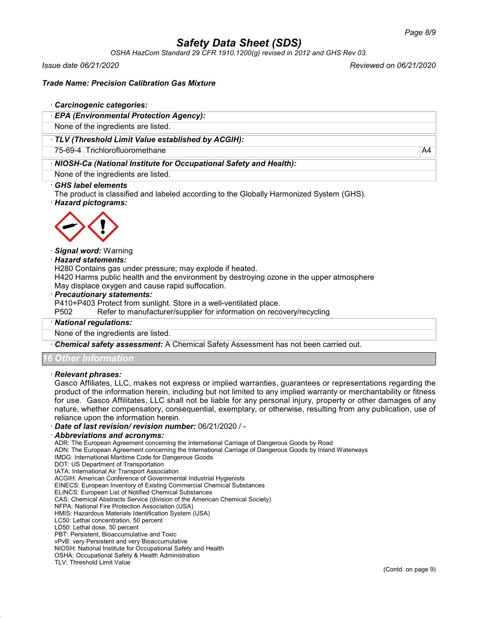*OSHA HazCom Standard 29 CFR 1910.1200(g) revised in 2012 and GHS Rev 03.*

*Issue date 06/21/2020 Reviewed on 06/21/2020*

## *Trade Name: Precision Calibration Gas Mixture*

#### · *Carcinogenic categories:*

· *EPA (Environmental Protection Agency):*

None of the ingredients are listed.

#### · *TLV (Threshold Limit Value established by ACGIH):*

75-69-4 Trichlorofluoromethane A4

## · *NIOSH-Ca (National Institute for Occupational Safety and Health):*

None of the ingredients are listed.

#### · *GHS label elements*

The product is classified and labeled according to the Globally Harmonized System (GHS).

· *Hazard pictograms:*



#### · *Signal word:* Warning

#### · *Hazard statements:*

H280 Contains gas under pressure; may explode if heated.

H420 Harms public health and the environment by destroying ozone in the upper atmosphere May displace oxygen and cause rapid suffocation.

#### · *Precautionary statements:*

P410+P403 Protect from sunlight. Store in a well-ventilated place.

P502 Refer to manufacturer/supplier for information on recovery/recycling

#### · *National regulations:*

None of the ingredients are listed.

· *Chemical safety assessment:* A Chemical Safety Assessment has not been carried out.

## *16 Other Information*

#### · *Relevant phrases:*

Gasco Affiliates, LLC, makes not express or implied warranties, guarantees or representations regarding the product of the information herein, including but not limited to any implied warranty or merchantability or fitness for use. Gasco Affilitates, LLC shall not be liable for any personal injury, property or other damages of any nature, whether compensatory, consequential, exemplary, or otherwise, resulting from any publication, use of reliance upon the information herein.

· *Date of last revision/ revision number:* 06/21/2020 / -

#### · *Abbreviations and acronyms:*

ADR: The European Agreement concerning the International Carriage of Dangerous Goods by Road

ADN: The European Agreement concerning the International Carriage of Dangerous Goods by Inland Waterways

- IMDG: International Maritime Code for Dangerous Goods
- DOT: US Department of Transportation

IATA: International Air Transport Association

ACGIH: American Conference of Governmental Industrial Hygienists

EINECS: European Inventory of Existing Commercial Chemical Substances

ELINCS: European List of Notified Chemical Substances

CAS: Chemical Abstracts Service (division of the American Chemical Society)

NFPA: National Fire Protection Association (USA)

HMIS: Hazardous Materials Identification System (USA)

LC50: Lethal concentration, 50 percent

LD50: Lethal dose, 50 percent

PBT: Persistent, Bioaccumulative and Toxic

vPvB: very Persistent and very Bioaccumulative

NIOSH: National Institute for Occupational Safety and Health

OSHA: Occupational Safety & Health Administration